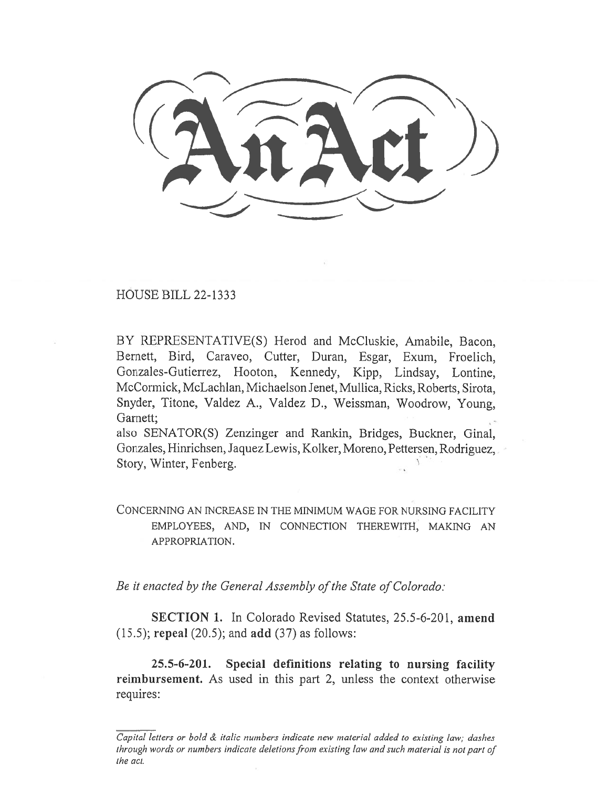$(3\pi\pi)$ 

HOUSE BILL 22-1333

BY REPRESENTATIVE(S) Herod and McCluskie, Amabile, Bacon, Bernett, Bird, Caraveo, Cutter, Duran, Esgar, Exum, Froelich, Gonzales-Gutierrez, Hooton, Kennedy, Kipp, Lindsay, Lontine, McCormick, McLachlan, Michaelson Jenet, Mullica, Ricks, Roberts, Sirota, Snyder, Titone, Valdez A., Valdez D., Weissman, Woodrow, Young, Garnett;

also SENATOR(S) Zenzinger and Rankin, Bridges, Buckner, Ginal, Gonzales, Hinrichsen, Jaquez Lewis, Kolker, Moreno, Pettersen, Rodriguez, Story, Winter, Fenberg.

CONCERNING AN INCREASE IN THE MINIMUM WAGE FOR NURSING FACILITY EMPLOYEES, AND, IN CONNECTION THEREWITH, MAKING AN APPROPRIATION.

Be it enacted by the General Assembly of the State of Colorado:

SECTION 1. In Colorado Revised Statutes, 25.5-6-201, amend (15.5); repeal (20.5); and add (37) as follows:

25.5-6-201. Special definitions relating to nursing facility reimbursement. As used in this part 2, unless the context otherwise requires:

Capital letters or bold & italic numbers indicate new material added to existing law; dashes through words or numbers indicate deletions from existing law and such material is not part of the act.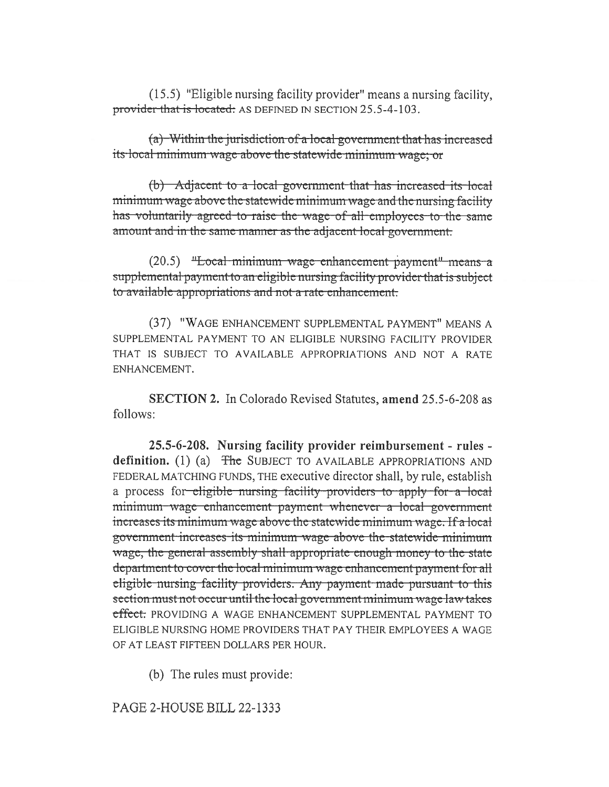(15.5) "Eligible nursing facility provider" means a nursing facility, provider that is located: AS DEFINED IN SECTION 25.5-4-103.

(a) Within the jurisdiction of a local government that has increased its local minimum wage above the statewide minimum wage; or

(b) Adjacent to a local government that has increased its local minimum wage above the statewide minimum wage and the nursing facility has voluntarily agreed to raise the wage of all employees to the same amount and in the same manner as the adjacent local government.

(20.5) "Local minimum wage enhancement payment" means a supplemental payment to an eligible nursing facility provider that is subject to available appropriations and not a rate enhancement.

(37) "WAGE ENHANCEMENT SUPPLEMENTAL PAYMENT" MEANS A SUPPLEMENTAL PAYMENT TO AN ELIGIBLE NURSING FACILITY PROVIDER THAT IS SUBJECT TO AVAILABLE APPROPRIATIONS AND NOT A RATE ENHANCEMENT.

**SECTION 2.** In Colorado Revised Statutes, amend 25.5-6-208 as follows:

25.5-6-208. Nursing facility provider reimbursement - rules definition.  $(1)$  (a) The SUBJECT TO AVAILABLE APPROPRIATIONS AND FEDERAL MATCHING FUNDS, THE executive director shall, by rule, establish a process for eligible nursing facility providers to apply for a local minimum wage enhancement payment whenever a local government increases its minimum wage above the statewide minimum wage. If a local government increases its minimum wage above the statewide minimum wage, the general assembly shall appropriate enough money to the state department to cover the local minimum wage enhancement payment for all eligible nursing facility providers. Any payment made pursuant to this section must not occur until the local government minimum wage law takes effect: PROVIDING A WAGE ENHANCEMENT SUPPLEMENTAL PAYMENT TO ELIGIBLE NURSING HOME PROVIDERS THAT PAY THEIR EMPLOYEES A WAGE OF AT LEAST FIFTEEN DOLLARS PER HOUR.

(b) The rules must provide:

PAGE 2-HOUSE BILL 22-1333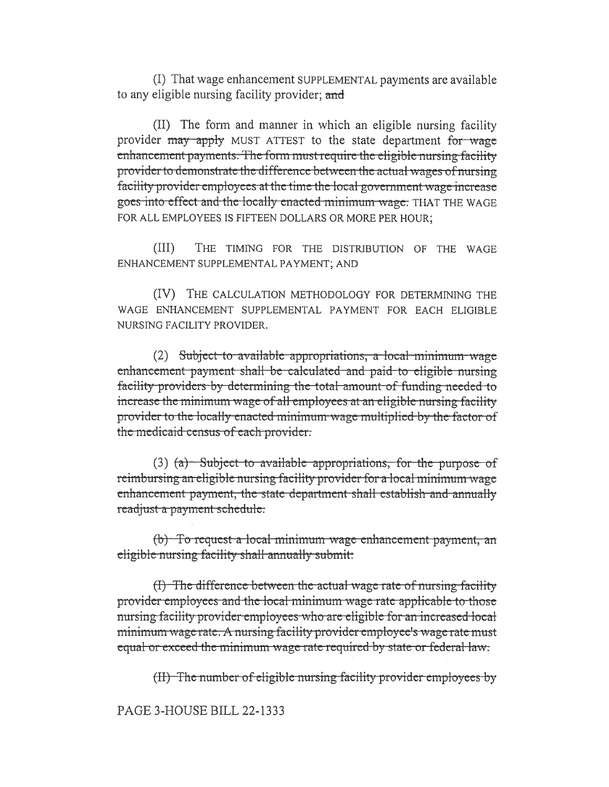(I) That wage enhancement SUPPLEMENTAL payments are available to any eligible nursing facility provider; and

(II) The form and manner in which an eligible nursing facility provider may apply MUST ATTEST to the state department for wage enhancement payments. The form must require the eligible nursing facility provider to demonstrate the difference between the actual wages of nursing facility provider employees at the time the local government wage increase goes into effect and the locally enacted minimum wage. THAT THE WAGE FOR ALL EMPLOYEES IS FIFTEEN DOLLARS OR MORE PER HOUR:

 $(III)$ THE TIMING FOR THE DISTRIBUTION OF THE WAGE ENHANCEMENT SUPPLEMENTAL PAYMENT; AND

(IV) THE CALCULATION METHODOLOGY FOR DETERMINING THE WAGE ENHANCEMENT SUPPLEMENTAL PAYMENT FOR EACH ELIGIBLE NURSING FACILITY PROVIDER.

 $(2)$  Subject to available appropriations, a local minimum wage enhancement payment shall be calculated and paid to eligible nursing facility providers by determining the total amount of funding needed to increase the minimum wage of all employees at an eligible nursing facility provider to the locally enacted minimum wage multiplied by the factor of the medicaid census of each provider.

 $(3)$  (a) Subject to available appropriations, for the purpose of reimbursing an eligible nursing facility provider for a local minimum wage enhancement payment, the state department shall establish and annually readjust a payment schedule:

(b) To request a local minimum wage enhancement payment, an eligible nursing facility shall annually submit:

(I) The difference between the actual wage rate of nursing facility provider employees and the local minimum wage rate applicable to those nursing facility provider employees who are eligible for an increased local minimum wage rate. A nursing facility provider employee's wage rate must equal or exceed the minimum wage rate required by state or federal law.

(II) The number of eligible nursing facility provider employees by

PAGE 3-HOUSE BILL 22-1333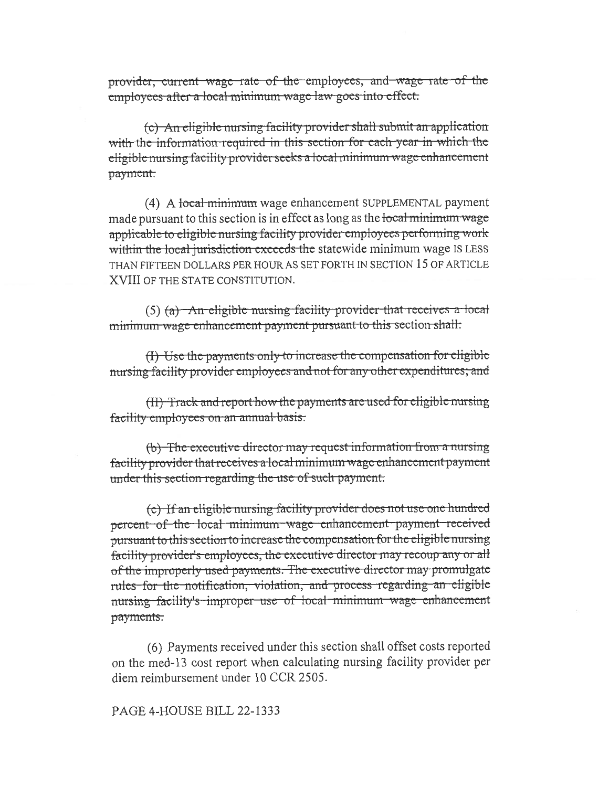provider, current wage rate of the employees, and wage rate of the employees after a local minimum wage law goes into effect.

(c) An eligible nursing facility provider shall submit an application with the information required in this section for each year in which the eligible nursing facility provider seeks a local minimum wage enhancement payment.

(4) A local minimum wage enhancement SUPPLEMENTAL payment made pursuant to this section is in effect as long as the local minimum wage applicable to eligible nursing facility provider employees performing work within the local jurisdiction exceeds the statewide minimum wage IS LESS THAN FIFTEEN DOLLARS PER HOUR AS SET FORTH IN SECTION 15 OF ARTICLE XVIII OF THE STATE CONSTITUTION.

(5) (a) An eligible nursing facility provider that receives a local minimum wage enhancement payment pursuant to this section shall:

(I) Use the payments only to increase the compensation for eligible nursing facility provider employees and not for any other expenditures; and

(II) Track and report how the payments are used for eligible nursing facility employees on an annual basis.

(b) The executive director may request information from a nursing facility provider that receives a local minimum wage enhancement payment under this section regarding the use of such payment.

(c) If an eligible nursing facility provider does not use one hundred percent of the local minimum wage enhancement payment received pursuant to this section to increase the compensation for the eligible nursing facility provider's employees, the executive director may recoup any or all of the improperly used payments. The executive director may promulgate rules for the notification, violation, and process regarding an eligible nursing facility's improper use of local minimum wage enhancement payments.

(6) Payments received under this section shall offset costs reported on the med-13 cost report when calculating nursing facility provider per diem reimbursement under 10 CCR 2505.

## PAGE 4-HOUSE BILL 22-1333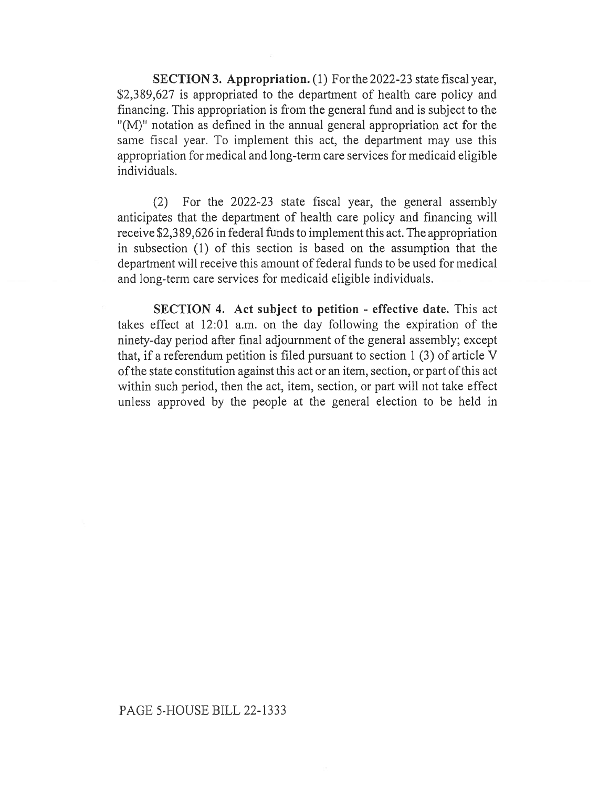SECTION 3. Appropriation. (1) For the 2022-23 state fiscal year, \$2,389,627 is appropriated to the department of health care policy and financing. This appropriation is from the general fund and is subject to the "(M)" notation as defined in the annual general appropriation act for the same fiscal year. To implement this act, the department may use this appropriation for medical and long-term care services for medicaid eligible individuals.

(2) For the 2022-23 state fiscal year, the general assembly anticipates that the department of health care policy and financing will receive \$2,3 89,626 in federal funds to implement this act. The appropriation in subsection (1) of this section is based on the assumption that the department will receive this amount of federal funds to be used for medical and long-term care services for medicaid eligible individuals.

SECTION 4. Act subject to petition - effective date. This act takes effect at 12:01 a.m. on the day following the expiration of the ninety-day period after final adjournment of the general assembly; except that, if a referendum petition is filed pursuant to section 1 (3) of article V of the state constitution against this act or an item, section, or part of this act within such period, then the act, item, section, or part will not take effect unless approved by the people at the general election to be held in

## PAGE 5-HOUSE BILL 22-1333